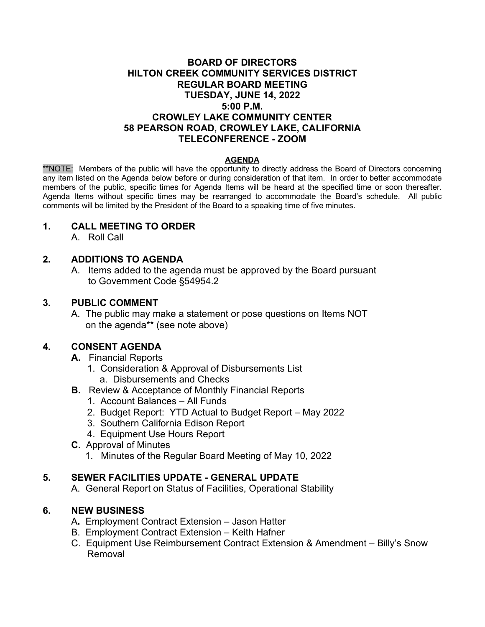## **BOARD OF DIRECTORS HILTON CREEK COMMUNITY SERVICES DISTRICT REGULAR BOARD MEETING TUESDAY, JUNE 14, 2022 5:00 P.M. CROWLEY LAKE COMMUNITY CENTER 58 PEARSON ROAD, CROWLEY LAKE, CALIFORNIA TELECONFERENCE - ZOOM**

### **AGENDA**

\*\*NOTE: Members of the public will have the opportunity to directly address the Board of Directors concerning any item listed on the Agenda below before or during consideration of that item. In order to better accommodate members of the public, specific times for Agenda Items will be heard at the specified time or soon thereafter. Agenda Items without specific times may be rearranged to accommodate the Board's schedule. All public comments will be limited by the President of the Board to a speaking time of five minutes.

### **1. CALL MEETING TO ORDER**

A. Roll Call

## **2. ADDITIONS TO AGENDA**

A. Items added to the agenda must be approved by the Board pursuant to Government Code §54954.2

### **3. PUBLIC COMMENT**

A. The public may make a statement or pose questions on Items NOT on the agenda\*\* (see note above)

### **4. CONSENT AGENDA**

- **A.** Financial Reports
	- 1. Consideration & Approval of Disbursements List a. Disbursements and Checks
- **B.** Review & Acceptance of Monthly Financial Reports
	- 1. Account Balances All Funds
	- 2. Budget Report: YTD Actual to Budget Report May 2022
	- 3. Southern California Edison Report
	- 4. Equipment Use Hours Report
- **C.** Approval of Minutes
	- 1. Minutes of the Regular Board Meeting of May 10, 2022

### **5. SEWER FACILITIES UPDATE - GENERAL UPDATE**

A. General Report on Status of Facilities, Operational Stability

## **6. NEW BUSINESS**

- A**.** Employment Contract Extension Jason Hatter
- B. Employment Contract Extension Keith Hafner
- C. Equipment Use Reimbursement Contract Extension & Amendment Billy's Snow Removal